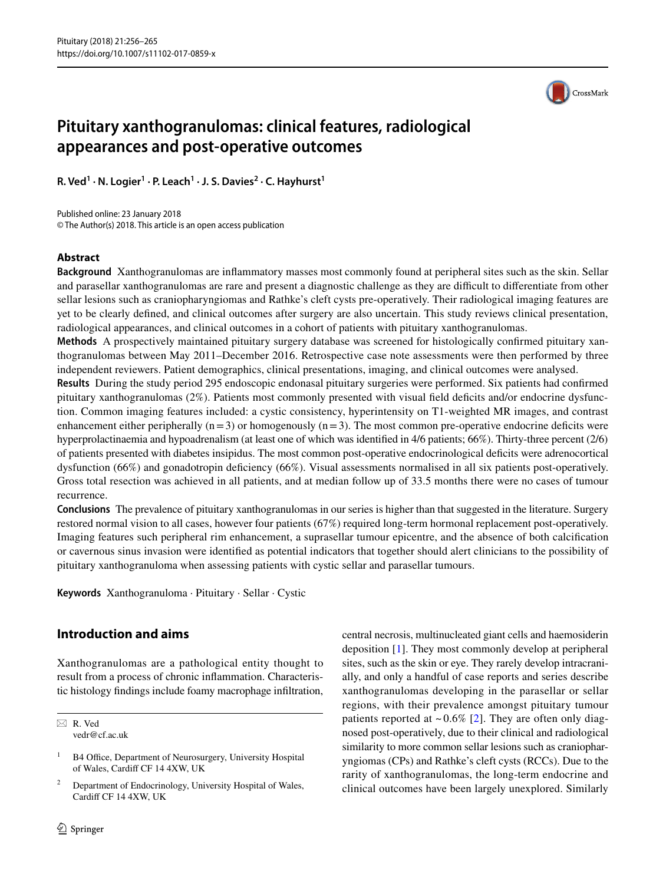

# **Pituitary xanthogranulomas: clinical features, radiological appearances and post-operative outcomes**

**R. Ved1 · N. Logier<sup>1</sup> · P. Leach<sup>1</sup> · J. S. Davies<sup>2</sup> · C. Hayhurst1**

Published online: 23 January 2018 © The Author(s) 2018. This article is an open access publication

# **Abstract**

**Background** Xanthogranulomas are inflammatory masses most commonly found at peripheral sites such as the skin. Sellar and parasellar xanthogranulomas are rare and present a diagnostic challenge as they are difficult to differentiate from other sellar lesions such as craniopharyngiomas and Rathke's cleft cysts pre-operatively. Their radiological imaging features are yet to be clearly defined, and clinical outcomes after surgery are also uncertain. This study reviews clinical presentation, radiological appearances, and clinical outcomes in a cohort of patients with pituitary xanthogranulomas.

**Methods** A prospectively maintained pituitary surgery database was screened for histologically confirmed pituitary xanthogranulomas between May 2011–December 2016. Retrospective case note assessments were then performed by three independent reviewers. Patient demographics, clinical presentations, imaging, and clinical outcomes were analysed.

**Results** During the study period 295 endoscopic endonasal pituitary surgeries were performed. Six patients had confirmed pituitary xanthogranulomas (2%). Patients most commonly presented with visual field deficits and/or endocrine dysfunction. Common imaging features included: a cystic consistency, hyperintensity on T1-weighted MR images, and contrast enhancement either peripherally ( $n=3$ ) or homogenously ( $n=3$ ). The most common pre-operative endocrine deficits were hyperprolactinaemia and hypoadrenalism (at least one of which was identified in 4/6 patients; 66%). Thirty-three percent (2/6) of patients presented with diabetes insipidus. The most common post-operative endocrinological deficits were adrenocortical dysfunction (66%) and gonadotropin deficiency (66%). Visual assessments normalised in all six patients post-operatively. Gross total resection was achieved in all patients, and at median follow up of 33.5 months there were no cases of tumour recurrence.

**Conclusions** The prevalence of pituitary xanthogranulomas in our series is higher than that suggested in the literature. Surgery restored normal vision to all cases, however four patients (67%) required long-term hormonal replacement post-operatively. Imaging features such peripheral rim enhancement, a suprasellar tumour epicentre, and the absence of both calcification or cavernous sinus invasion were identified as potential indicators that together should alert clinicians to the possibility of pituitary xanthogranuloma when assessing patients with cystic sellar and parasellar tumours.

**Keywords** Xanthogranuloma · Pituitary · Sellar · Cystic

# **Introduction and aims**

Xanthogranulomas are a pathological entity thought to result from a process of chronic inflammation. Characteristic histology findings include foamy macrophage infiltration,

 $\boxtimes$  R. Ved vedr@cf.ac.uk central necrosis, multinucleated giant cells and haemosiderin deposition [\[1](#page-8-0)]. They most commonly develop at peripheral sites, such as the skin or eye. They rarely develop intracranially, and only a handful of case reports and series describe xanthogranulomas developing in the parasellar or sellar regions, with their prevalence amongst pituitary tumour patients reported at  $\sim 0.6\%$  [[2\]](#page-8-1). They are often only diagnosed post-operatively, due to their clinical and radiological similarity to more common sellar lesions such as craniopharyngiomas (CPs) and Rathke's cleft cysts (RCCs). Due to the rarity of xanthogranulomas, the long-term endocrine and clinical outcomes have been largely unexplored. Similarly

<sup>&</sup>lt;sup>1</sup> B4 Office, Department of Neurosurgery, University Hospital of Wales, Cardiff CF 14 4XW, UK

<sup>2</sup> Department of Endocrinology, University Hospital of Wales, Cardiff CF 14 4XW, UK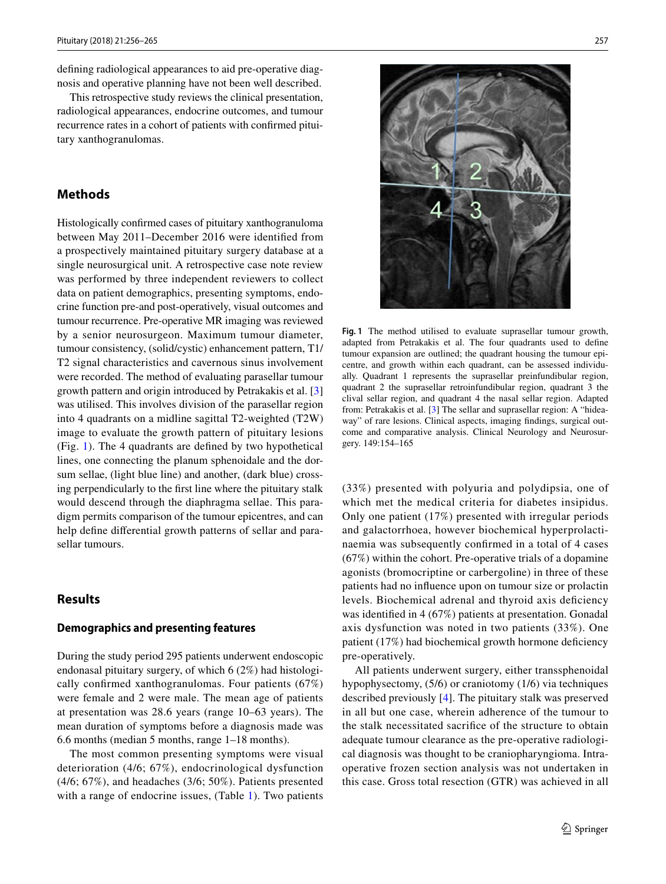defining radiological appearances to aid pre-operative diagnosis and operative planning have not been well described.

This retrospective study reviews the clinical presentation, radiological appearances, endocrine outcomes, and tumour recurrence rates in a cohort of patients with confirmed pituitary xanthogranulomas.

# **Methods**

Histologically confirmed cases of pituitary xanthogranuloma between May 2011–December 2016 were identified from a prospectively maintained pituitary surgery database at a single neurosurgical unit. A retrospective case note review was performed by three independent reviewers to collect data on patient demographics, presenting symptoms, endocrine function pre-and post-operatively, visual outcomes and tumour recurrence. Pre-operative MR imaging was reviewed by a senior neurosurgeon. Maximum tumour diameter, tumour consistency, (solid/cystic) enhancement pattern, T1/ T2 signal characteristics and cavernous sinus involvement were recorded. The method of evaluating parasellar tumour growth pattern and origin introduced by Petrakakis et al. [[3\]](#page-8-2) was utilised. This involves division of the parasellar region into 4 quadrants on a midline sagittal T2-weighted (T2W) image to evaluate the growth pattern of pituitary lesions (Fig. [1\)](#page-1-0). The 4 quadrants are defined by two hypothetical lines, one connecting the planum sphenoidale and the dorsum sellae, (light blue line) and another, (dark blue) crossing perpendicularly to the first line where the pituitary stalk would descend through the diaphragma sellae. This paradigm permits comparison of the tumour epicentres, and can help define differential growth patterns of sellar and parasellar tumours.

# **Results**

#### **Demographics and presenting features**

During the study period 295 patients underwent endoscopic endonasal pituitary surgery, of which 6 (2%) had histologically confirmed xanthogranulomas. Four patients (67%) were female and 2 were male. The mean age of patients at presentation was 28.6 years (range 10–63 years). The mean duration of symptoms before a diagnosis made was 6.6 months (median 5 months, range 1–18 months).

The most common presenting symptoms were visual deterioration (4/6; 67%), endocrinological dysfunction (4/6; 67%), and headaches (3/6; 50%). Patients presented with a range of endocrine issues, (Table [1\)](#page-2-0). Two patients



<span id="page-1-0"></span>**Fig. 1** The method utilised to evaluate suprasellar tumour growth, adapted from Petrakakis et al. The four quadrants used to define tumour expansion are outlined; the quadrant housing the tumour epicentre, and growth within each quadrant, can be assessed individually. Quadrant 1 represents the suprasellar preinfundibular region, quadrant 2 the suprasellar retroinfundibular region, quadrant 3 the clival sellar region, and quadrant 4 the nasal sellar region. Adapted from: Petrakakis et al. [\[3](#page-8-2)] The sellar and suprasellar region: A "hideaway" of rare lesions. Clinical aspects, imaging findings, surgical outcome and comparative analysis. Clinical Neurology and Neurosurgery. 149:154–165

(33%) presented with polyuria and polydipsia, one of which met the medical criteria for diabetes insipidus. Only one patient (17%) presented with irregular periods and galactorrhoea, however biochemical hyperprolactinaemia was subsequently confirmed in a total of 4 cases (67%) within the cohort. Pre-operative trials of a dopamine agonists (bromocriptine or carbergoline) in three of these patients had no influence upon on tumour size or prolactin levels. Biochemical adrenal and thyroid axis deficiency was identified in 4 (67%) patients at presentation. Gonadal axis dysfunction was noted in two patients (33%). One patient (17%) had biochemical growth hormone deficiency pre-operatively.

All patients underwent surgery, either transsphenoidal hypophysectomy, (5/6) or craniotomy (1/6) via techniques described previously [\[4](#page-8-3)]. The pituitary stalk was preserved in all but one case, wherein adherence of the tumour to the stalk necessitated sacrifice of the structure to obtain adequate tumour clearance as the pre-operative radiological diagnosis was thought to be craniopharyngioma. Intraoperative frozen section analysis was not undertaken in this case. Gross total resection (GTR) was achieved in all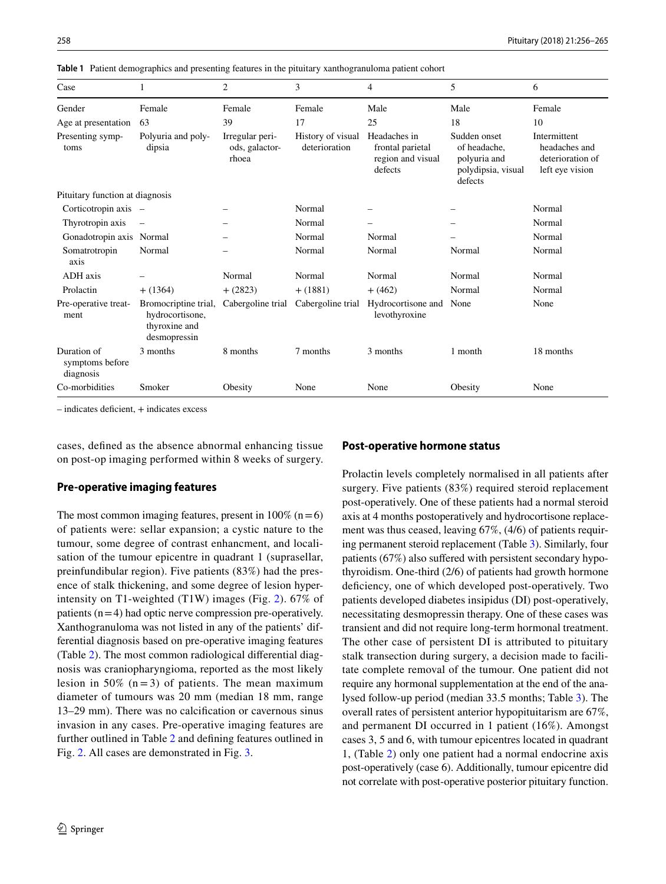| Case                                        | 1                                                                        | $\overline{2}$                             | 3                                               | 4                                                | 5                                                                             | 6                                                                    |
|---------------------------------------------|--------------------------------------------------------------------------|--------------------------------------------|-------------------------------------------------|--------------------------------------------------|-------------------------------------------------------------------------------|----------------------------------------------------------------------|
| Gender                                      | Female                                                                   | Female                                     | Female                                          | Male                                             | Male                                                                          | Female                                                               |
| Age at presentation                         | 63                                                                       | 39                                         | 17                                              | 25                                               | 18                                                                            | 10                                                                   |
| Presenting symp-<br>toms                    | Polyuria and poly-<br>dipsia                                             | Irregular peri-<br>ods, galactor-<br>rhoea | History of visual Headaches in<br>deterioration | frontal parietal<br>region and visual<br>defects | Sudden onset<br>of headache.<br>polyuria and<br>polydipsia, visual<br>defects | Intermittent<br>headaches and<br>deterioration of<br>left eye vision |
| Pituitary function at diagnosis             |                                                                          |                                            |                                                 |                                                  |                                                                               |                                                                      |
| Corticotropin axis –                        |                                                                          |                                            | Normal                                          |                                                  |                                                                               | Normal                                                               |
| Thyrotropin axis                            |                                                                          |                                            | Normal                                          |                                                  |                                                                               | Normal                                                               |
| Gonadotropin axis Normal                    |                                                                          |                                            | Normal                                          | Normal                                           |                                                                               | Normal                                                               |
| Somatrotropin<br>axis                       | Normal                                                                   |                                            | Normal                                          | Normal                                           | Normal                                                                        | Normal                                                               |
| ADH axis                                    |                                                                          | Normal                                     | Normal                                          | Normal                                           | Normal                                                                        | Normal                                                               |
| Prolactin                                   | $+ (1364)$                                                               | $+ (2823)$                                 | $+ (1881)$                                      | $+ (462)$                                        | Normal                                                                        | Normal                                                               |
| Pre-operative treat-<br>ment                | Bromocriptine trial,<br>hydrocortisone,<br>thyroxine and<br>desmopressin | Cabergoline trial                          | Cabergoline trial                               | Hydrocortisone and<br>levothyroxine              | None                                                                          | None                                                                 |
| Duration of<br>symptoms before<br>diagnosis | 3 months                                                                 | 8 months                                   | 7 months                                        | 3 months                                         | 1 month                                                                       | 18 months                                                            |
| Co-morbidities                              | Smoker                                                                   | Obesity                                    | None                                            | None                                             | Obesity                                                                       | None                                                                 |

<span id="page-2-0"></span>**Table 1** Patient demographics and presenting features in the pituitary xanthogranuloma patient cohort

– indicates deficient, + indicates excess

cases, defined as the absence abnormal enhancing tissue on post-op imaging performed within 8 weeks of surgery.

## **Pre‑operative imaging features**

The most common imaging features, present in  $100\%$  (n = 6) of patients were: sellar expansion; a cystic nature to the tumour, some degree of contrast enhancment, and localisation of the tumour epicentre in quadrant 1 (suprasellar, preinfundibular region). Five patients (83%) had the presence of stalk thickening, and some degree of lesion hyperintensity on T1-weighted (T1W) images (Fig. [2](#page-3-0)). 67% of patients  $(n=4)$  had optic nerve compression pre-operatively. Xanthogranuloma was not listed in any of the patients' differential diagnosis based on pre-operative imaging features (Table [2\)](#page-3-1). The most common radiological differential diagnosis was craniopharyngioma, reported as the most likely lesion in 50%  $(n=3)$  of patients. The mean maximum diameter of tumours was 20 mm (median 18 mm, range 13–29 mm). There was no calcification or cavernous sinus invasion in any cases. Pre-operative imaging features are further outlined in Table [2](#page-3-1) and defining features outlined in Fig. [2](#page-3-0). All cases are demonstrated in Fig. [3.](#page-4-0)

## **Post‑operative hormone status**

Prolactin levels completely normalised in all patients after surgery. Five patients (83%) required steroid replacement post-operatively. One of these patients had a normal steroid axis at 4 months postoperatively and hydrocortisone replacement was thus ceased, leaving 67%, (4/6) of patients requiring permanent steroid replacement (Table [3\)](#page-5-0). Similarly, four patients (67%) also suffered with persistent secondary hypothyroidism. One-third (2/6) of patients had growth hormone deficiency, one of which developed post-operatively. Two patients developed diabetes insipidus (DI) post-operatively, necessitating desmopressin therapy. One of these cases was transient and did not require long-term hormonal treatment. The other case of persistent DI is attributed to pituitary stalk transection during surgery, a decision made to facilitate complete removal of the tumour. One patient did not require any hormonal supplementation at the end of the analysed follow-up period (median 33.5 months; Table [3](#page-5-0)). The overall rates of persistent anterior hypopituitarism are 67%, and permanent DI occurred in 1 patient (16%). Amongst cases 3, 5 and 6, with tumour epicentres located in quadrant 1, (Table [2](#page-3-1)) only one patient had a normal endocrine axis post-operatively (case 6). Additionally, tumour epicentre did not correlate with post-operative posterior pituitary function.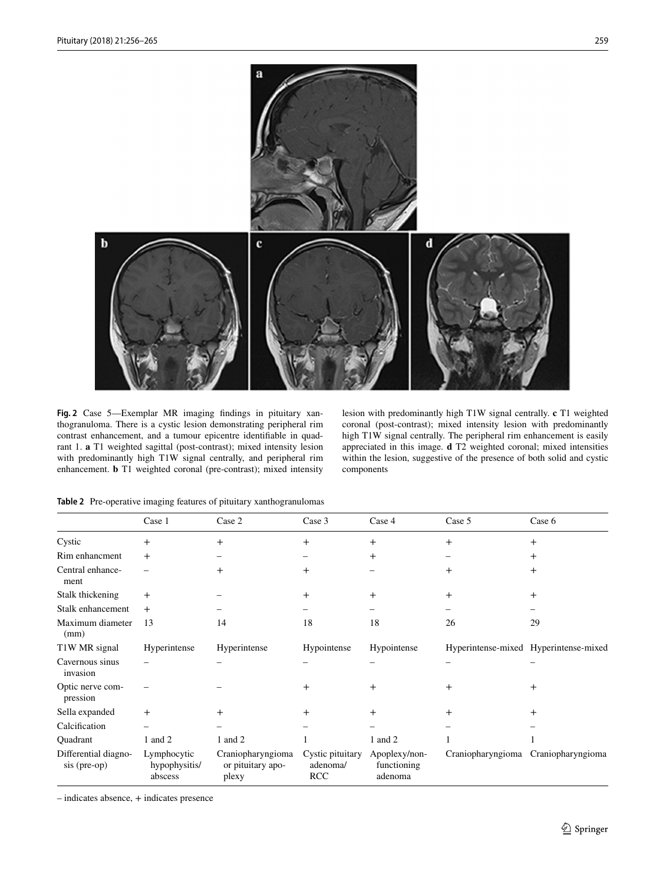

<span id="page-3-0"></span>**Fig. 2** Case 5—Exemplar MR imaging findings in pituitary xanthogranuloma. There is a cystic lesion demonstrating peripheral rim contrast enhancement, and a tumour epicentre identifiable in quadrant 1. **a** T1 weighted sagittal (post-contrast); mixed intensity lesion with predominantly high T1W signal centrally, and peripheral rim enhancement. **b** T1 weighted coronal (pre-contrast); mixed intensity

lesion with predominantly high T1W signal centrally. **c** T1 weighted coronal (post-contrast); mixed intensity lesion with predominantly high T1W signal centrally. The peripheral rim enhancement is easily appreciated in this image. **d** T2 weighted coronal; mixed intensities within the lesion, suggestive of the presence of both solid and cystic components

|                                      | Case 1                                  | Case 2                                          | Case 3                                     | Case 4                                  | Case 5            | Case 6                                |
|--------------------------------------|-----------------------------------------|-------------------------------------------------|--------------------------------------------|-----------------------------------------|-------------------|---------------------------------------|
| Cystic                               | $^{+}$                                  | $^{+}$                                          | $\mathrm{+}$                               | $^{+}$                                  | $^+$              | $^{+}$                                |
| Rim enhancment                       | $^{+}$                                  |                                                 |                                            | $\overline{+}$                          |                   | $^{+}$                                |
| Central enhance-<br>ment             |                                         | $\overline{+}$                                  | $\pm$                                      |                                         | $\mathrm{+}$      | $^{+}$                                |
| Stalk thickening                     | $^{+}$                                  |                                                 | $\pm$                                      | $^{+}$                                  | $\pm$             | $\overline{+}$                        |
| Stalk enhancement                    | $+$                                     |                                                 |                                            |                                         |                   |                                       |
| Maximum diameter<br>(mm)             | 13                                      | 14                                              | 18                                         | 18                                      | 26                | 29                                    |
| T1W MR signal                        | Hyperintense                            | Hyperintense                                    | Hypointense                                | Hypointense                             |                   | Hyperintense-mixed Hyperintense-mixed |
| Cavernous sinus<br>invasion          |                                         |                                                 |                                            |                                         |                   |                                       |
| Optic nerve com-<br>pression         |                                         |                                                 | $^{+}$                                     | $+$                                     | $\mathrm{+}$      | $^{+}$                                |
| Sella expanded                       | $^{+}$                                  | $\overline{+}$                                  | $\pm$                                      | $^{+}$                                  | $\mathrm{+}$      | $^{+}$                                |
| Calcification                        |                                         |                                                 |                                            |                                         |                   |                                       |
| Quadrant                             | 1 and 2                                 | 1 and 2                                         |                                            | 1 and 2                                 |                   |                                       |
| Differential diagno-<br>sis (pre-op) | Lymphocytic<br>hypophysitis/<br>abscess | Craniopharyngioma<br>or pituitary apo-<br>plexy | Cystic pituitary<br>adenoma/<br><b>RCC</b> | Apoplexy/non-<br>functioning<br>adenoma | Craniopharyngioma | Craniopharyngioma                     |

<span id="page-3-1"></span>**Table 2** Pre-operative imaging features of pituitary xanthogranulomas

– indicates absence, + indicates presence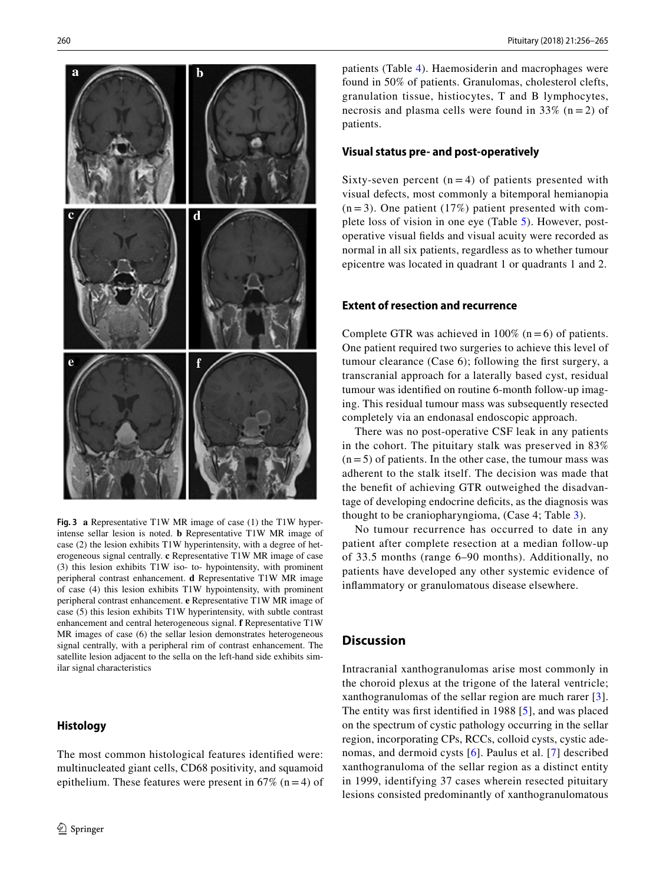

<span id="page-4-0"></span>**Fig. 3 a** Representative T1W MR image of case (1) the T1W hyperintense sellar lesion is noted. **b** Representative T1W MR image of case (2) the lesion exhibits T1W hyperintensity, with a degree of heterogeneous signal centrally. **c** Representative T1W MR image of case (3) this lesion exhibits T1W iso- to- hypointensity, with prominent peripheral contrast enhancement. **d** Representative T1W MR image of case (4) this lesion exhibits T1W hypointensity, with prominent peripheral contrast enhancement. **e** Representative T1W MR image of case (5) this lesion exhibits T1W hyperintensity, with subtle contrast enhancement and central heterogeneous signal. **f** Representative T1W MR images of case (6) the sellar lesion demonstrates heterogeneous signal centrally, with a peripheral rim of contrast enhancement. The satellite lesion adjacent to the sella on the left-hand side exhibits similar signal characteristics

## **Histology**

The most common histological features identified were: multinucleated giant cells, CD68 positivity, and squamoid epithelium. These features were present in  $67\%$  (n = 4) of patients (Table [4](#page-5-1)). Haemosiderin and macrophages were found in 50% of patients. Granulomas, cholesterol clefts, granulation tissue, histiocytes, T and B lymphocytes, necrosis and plasma cells were found in 33% ( $n = 2$ ) of patients.

## **Visual status pre‑ and post‑operatively**

Sixty-seven percent  $(n = 4)$  of patients presented with visual defects, most commonly a bitemporal hemianopia  $(n=3)$ . One patient (17%) patient presented with complete loss of vision in one eye (Table [5](#page-5-2)). However, postoperative visual fields and visual acuity were recorded as normal in all six patients, regardless as to whether tumour epicentre was located in quadrant 1 or quadrants 1 and 2.

# **Extent of resection and recurrence**

Complete GTR was achieved in  $100\%$  (n = 6) of patients. One patient required two surgeries to achieve this level of tumour clearance (Case 6); following the first surgery, a transcranial approach for a laterally based cyst, residual tumour was identified on routine 6-month follow-up imaging. This residual tumour mass was subsequently resected completely via an endonasal endoscopic approach.

There was no post-operative CSF leak in any patients in the cohort. The pituitary stalk was preserved in 83%  $(n=5)$  of patients. In the other case, the tumour mass was adherent to the stalk itself. The decision was made that the benefit of achieving GTR outweighed the disadvantage of developing endocrine deficits, as the diagnosis was thought to be craniopharyngioma, (Case 4; Table [3](#page-5-0)).

No tumour recurrence has occurred to date in any patient after complete resection at a median follow-up of 33.5 months (range 6–90 months). Additionally, no patients have developed any other systemic evidence of inflammatory or granulomatous disease elsewhere.

# **Discussion**

Intracranial xanthogranulomas arise most commonly in the choroid plexus at the trigone of the lateral ventricle; xanthogranulomas of the sellar region are much rarer [[3](#page-8-2)]. The entity was first identified in 1988 [[5\]](#page-9-0), and was placed on the spectrum of cystic pathology occurring in the sellar region, incorporating CPs, RCCs, colloid cysts, cystic adenomas, and dermoid cysts [[6](#page-9-1)]. Paulus et al. [[7\]](#page-9-2) described xanthogranuloma of the sellar region as a distinct entity in 1999, identifying 37 cases wherein resected pituitary lesions consisted predominantly of xanthogranulomatous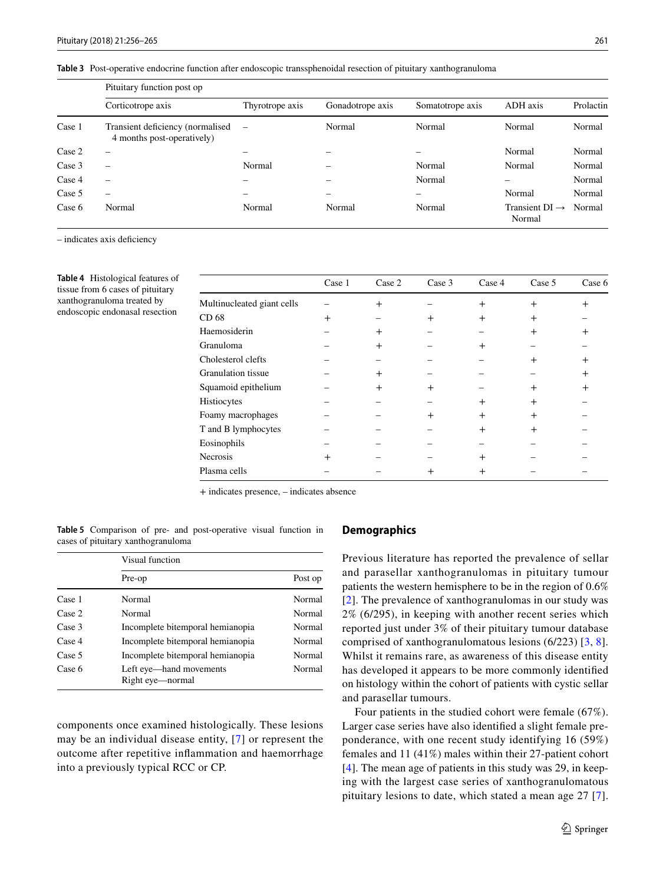<span id="page-5-0"></span>**Table 3** Post-operative endocrine function after endoscopic transsphenoidal resection of pituitary xanthogranuloma

|        | Pituitary function post op                                     |                   |                  |                  |                                      |           |  |
|--------|----------------------------------------------------------------|-------------------|------------------|------------------|--------------------------------------|-----------|--|
|        | Corticotrope axis                                              | Thyrotrope axis   | Gonadotrope axis | Somatotrope axis | ADH axis                             | Prolactin |  |
| Case 1 | Transient deficiency (normalised<br>4 months post-operatively) | $\qquad \qquad -$ | Normal           | Normal           | Normal                               | Normal    |  |
| Case 2 | -                                                              |                   |                  |                  | Normal                               | Normal    |  |
| Case 3 | $\overline{\phantom{0}}$                                       | Normal            |                  | Normal           | Normal                               | Normal    |  |
| Case 4 | $\overline{\phantom{0}}$                                       | -                 |                  | Normal           | -                                    | Normal    |  |
| Case 5 | -                                                              | -                 |                  | -                | Normal                               | Normal    |  |
| Case 6 | Normal                                                         | Normal            | Normal           | Normal           | Transient $DI \rightarrow$<br>Normal | Normal    |  |

– indicates axis deficiency

<span id="page-5-1"></span>**Table 4** Histological features of tissue from 6 cases of pituitary xanthogranuloma treated by endoscopic endonasal resection

|                            | Case 1 | Case 2    | Case 3 | Case 4 | Case 5 | Case 6 |
|----------------------------|--------|-----------|--------|--------|--------|--------|
| Multinucleated giant cells |        | $\ddot{}$ |        | $+$    | $+$    | $^{+}$ |
| CD 68                      | $\div$ |           | $^+$   | $+$    | $+$    |        |
| Haemosiderin               |        | $^{+}$    |        |        | $+$    | $^+$   |
| Granuloma                  |        | $+$       |        | $^{+}$ |        |        |
| Cholesterol clefts         |        |           |        |        | $+$    | $^+$   |
| <b>Granulation</b> tissue  |        | $\ddot{}$ |        |        |        | $^{+}$ |
| Squamoid epithelium        |        | $^{+}$    | +      |        | $\div$ | $^+$   |
| Histiocytes                |        |           |        | $+$    | $+$    |        |
| Foamy macrophages          |        |           | $^+$   | $^{+}$ | $+$    |        |
| T and B lymphocytes        |        |           |        | $^{+}$ | $+$    |        |
| Eosinophils                |        |           |        |        |        |        |
| Necrosis                   | $\pm$  |           |        | $^{+}$ |        |        |
| Plasma cells               |        |           | $\pm$  | $^{+}$ |        |        |

+ indicates presence, – indicates absence

<span id="page-5-2"></span>**Table 5** Comparison of pre- and post-operative visual function in cases of pituitary xanthogranuloma

|        | Visual function                             |         |  |
|--------|---------------------------------------------|---------|--|
|        | Pre-op                                      | Post op |  |
| Case 1 | Normal                                      | Normal  |  |
| Case 2 | Normal                                      | Normal  |  |
| Case 3 | Incomplete bitemporal hemianopia            | Normal  |  |
| Case 4 | Incomplete bitemporal hemianopia            | Normal  |  |
| Case 5 | Incomplete bitemporal hemianopia            | Normal  |  |
| Case 6 | Left eye—hand movements<br>Right eye—normal | Normal  |  |

components once examined histologically. These lesions may be an individual disease entity, [[7\]](#page-9-2) or represent the outcome after repetitive inflammation and haemorrhage into a previously typical RCC or CP.

### **Demographics**

Previous literature has reported the prevalence of sellar and parasellar xanthogranulomas in pituitary tumour patients the western hemisphere to be in the region of 0.6% [[2\]](#page-8-1). The prevalence of xanthogranulomas in our study was 2% (6/295), in keeping with another recent series which reported just under 3% of their pituitary tumour database comprised of xanthogranulomatous lesions (6/223) [[3](#page-8-2), [8](#page-9-3)]. Whilst it remains rare, as awareness of this disease entity has developed it appears to be more commonly identified on histology within the cohort of patients with cystic sellar and parasellar tumours.

Four patients in the studied cohort were female (67%). Larger case series have also identified a slight female preponderance, with one recent study identifying 16 (59%) females and 11 (41%) males within their 27-patient cohort [[4\]](#page-8-3). The mean age of patients in this study was 29, in keeping with the largest case series of xanthogranulomatous pituitary lesions to date, which stated a mean age 27 [[7](#page-9-2)].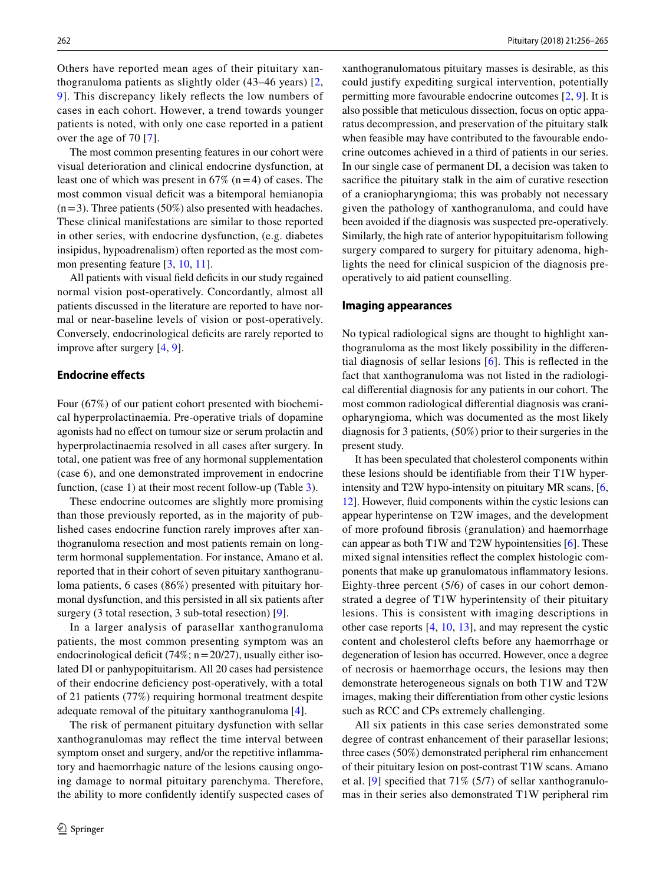Others have reported mean ages of their pituitary xanthogranuloma patients as slightly older (43–46 years) [\[2,](#page-8-1) [9](#page-9-4)]. This discrepancy likely reflects the low numbers of cases in each cohort. However, a trend towards younger patients is noted, with only one case reported in a patient over the age of 70 [[7\]](#page-9-2).

The most common presenting features in our cohort were visual deterioration and clinical endocrine dysfunction, at least one of which was present in  $67\%$  (n=4) of cases. The most common visual deficit was a bitemporal hemianopia  $(n=3)$ . Three patients (50%) also presented with headaches. These clinical manifestations are similar to those reported in other series, with endocrine dysfunction, (e.g. diabetes insipidus, hypoadrenalism) often reported as the most common presenting feature [\[3,](#page-8-2) [10,](#page-9-5) [11\]](#page-9-6).

All patients with visual field deficits in our study regained normal vision post-operatively. Concordantly, almost all patients discussed in the literature are reported to have normal or near-baseline levels of vision or post-operatively. Conversely, endocrinological deficits are rarely reported to improve after surgery [[4,](#page-8-3) [9\]](#page-9-4).

#### **Endocrine effects**

Four (67%) of our patient cohort presented with biochemical hyperprolactinaemia. Pre-operative trials of dopamine agonists had no effect on tumour size or serum prolactin and hyperprolactinaemia resolved in all cases after surgery. In total, one patient was free of any hormonal supplementation (case 6), and one demonstrated improvement in endocrine function, (case 1) at their most recent follow-up (Table [3\)](#page-5-0).

These endocrine outcomes are slightly more promising than those previously reported, as in the majority of published cases endocrine function rarely improves after xanthogranuloma resection and most patients remain on longterm hormonal supplementation. For instance, Amano et al. reported that in their cohort of seven pituitary xanthogranuloma patients, 6 cases (86%) presented with pituitary hormonal dysfunction, and this persisted in all six patients after surgery (3 total resection, 3 sub-total resection) [[9\]](#page-9-4).

In a larger analysis of parasellar xanthogranuloma patients, the most common presenting symptom was an endocrinological deficit (74%;  $n = 20/27$ ), usually either isolated DI or panhypopituitarism. All 20 cases had persistence of their endocrine deficiency post-operatively, with a total of 21 patients (77%) requiring hormonal treatment despite adequate removal of the pituitary xanthogranuloma [[4\]](#page-8-3).

The risk of permanent pituitary dysfunction with sellar xanthogranulomas may reflect the time interval between symptom onset and surgery, and/or the repetitive inflammatory and haemorrhagic nature of the lesions causing ongoing damage to normal pituitary parenchyma. Therefore, the ability to more confidently identify suspected cases of xanthogranulomatous pituitary masses is desirable, as this could justify expediting surgical intervention, potentially permitting more favourable endocrine outcomes [[2,](#page-8-1) [9\]](#page-9-4). It is also possible that meticulous dissection, focus on optic apparatus decompression, and preservation of the pituitary stalk when feasible may have contributed to the favourable endocrine outcomes achieved in a third of patients in our series. In our single case of permanent DI, a decision was taken to sacrifice the pituitary stalk in the aim of curative resection of a craniopharyngioma; this was probably not necessary given the pathology of xanthogranuloma, and could have been avoided if the diagnosis was suspected pre-operatively. Similarly, the high rate of anterior hypopituitarism following surgery compared to surgery for pituitary adenoma, highlights the need for clinical suspicion of the diagnosis preoperatively to aid patient counselling.

#### **Imaging appearances**

No typical radiological signs are thought to highlight xanthogranuloma as the most likely possibility in the differential diagnosis of sellar lesions [[6\]](#page-9-1). This is reflected in the fact that xanthogranuloma was not listed in the radiological differential diagnosis for any patients in our cohort. The most common radiological differential diagnosis was craniopharyngioma, which was documented as the most likely diagnosis for 3 patients, (50%) prior to their surgeries in the present study.

It has been speculated that cholesterol components within these lesions should be identifiable from their T1W hyperintensity and T2W hypo-intensity on pituitary MR scans, [[6,](#page-9-1) [12](#page-9-7)]. However, fluid components within the cystic lesions can appear hyperintense on T2W images, and the development of more profound fibrosis (granulation) and haemorrhage can appear as both T1W and T2W hypointensities [[6\]](#page-9-1). These mixed signal intensities reflect the complex histologic components that make up granulomatous inflammatory lesions. Eighty-three percent (5/6) of cases in our cohort demonstrated a degree of T1W hyperintensity of their pituitary lesions. This is consistent with imaging descriptions in other case reports [\[4](#page-8-3), [10,](#page-9-5) [13](#page-9-8)], and may represent the cystic content and cholesterol clefts before any haemorrhage or degeneration of lesion has occurred. However, once a degree of necrosis or haemorrhage occurs, the lesions may then demonstrate heterogeneous signals on both T1W and T2W images, making their differentiation from other cystic lesions such as RCC and CPs extremely challenging.

All six patients in this case series demonstrated some degree of contrast enhancement of their parasellar lesions; three cases (50%) demonstrated peripheral rim enhancement of their pituitary lesion on post-contrast T1W scans. Amano et al. [[9\]](#page-9-4) specified that 71% (5/7) of sellar xanthogranulomas in their series also demonstrated T1W peripheral rim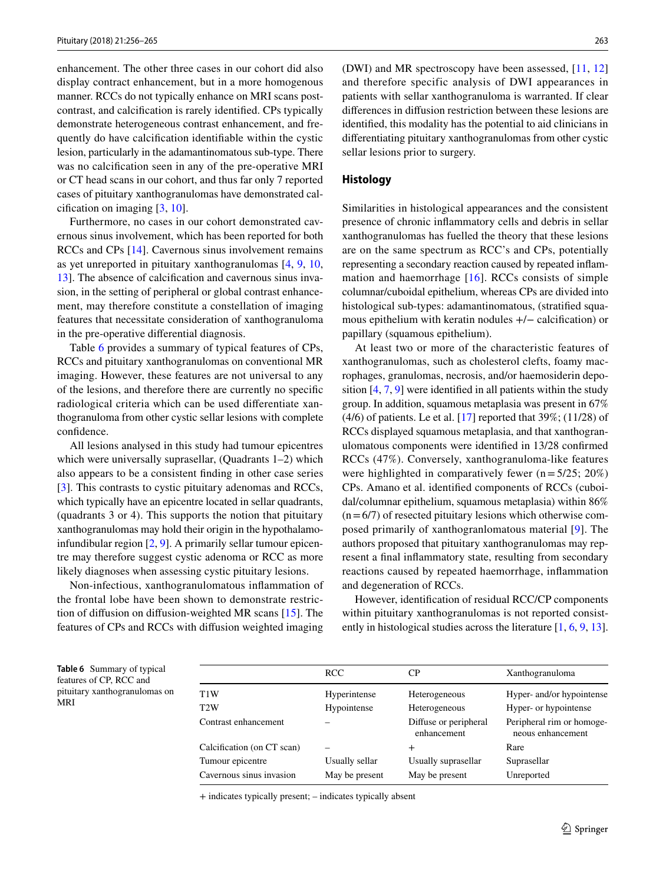enhancement. The other three cases in our cohort did also display contract enhancement, but in a more homogenous manner. RCCs do not typically enhance on MRI scans postcontrast, and calcification is rarely identified. CPs typically demonstrate heterogeneous contrast enhancement, and frequently do have calcification identifiable within the cystic lesion, particularly in the adamantinomatous sub-type. There was no calcification seen in any of the pre-operative MRI or CT head scans in our cohort, and thus far only 7 reported cases of pituitary xanthogranulomas have demonstrated calcification on imaging [[3,](#page-8-2) [10\]](#page-9-5).

Furthermore, no cases in our cohort demonstrated cavernous sinus involvement, which has been reported for both RCCs and CPs [\[14](#page-9-9)]. Cavernous sinus involvement remains as yet unreported in pituitary xanthogranulomas [\[4](#page-8-3), [9,](#page-9-4) [10,](#page-9-5) [13](#page-9-8)]. The absence of calcification and cavernous sinus invasion, in the setting of peripheral or global contrast enhancement, may therefore constitute a constellation of imaging features that necessitate consideration of xanthogranuloma in the pre-operative differential diagnosis.

Table [6](#page-7-0) provides a summary of typical features of CPs, RCCs and pituitary xanthogranulomas on conventional MR imaging. However, these features are not universal to any of the lesions, and therefore there are currently no specific radiological criteria which can be used differentiate xanthogranuloma from other cystic sellar lesions with complete confidence.

All lesions analysed in this study had tumour epicentres which were universally suprasellar, (Quadrants 1–2) which also appears to be a consistent finding in other case series [\[3](#page-8-2)]. This contrasts to cystic pituitary adenomas and RCCs, which typically have an epicentre located in sellar quadrants, (quadrants 3 or 4). This supports the notion that pituitary xanthogranulomas may hold their origin in the hypothalamoinfundibular region [\[2](#page-8-1), [9](#page-9-4)]. A primarily sellar tumour epicentre may therefore suggest cystic adenoma or RCC as more likely diagnoses when assessing cystic pituitary lesions.

Non-infectious, xanthogranulomatous inflammation of the frontal lobe have been shown to demonstrate restriction of diffusion on diffusion-weighted MR scans [[15](#page-9-10)]. The features of CPs and RCCs with diffusion weighted imaging

(DWI) and MR spectroscopy have been assessed, [\[11](#page-9-6), [12\]](#page-9-7) and therefore specific analysis of DWI appearances in patients with sellar xanthogranuloma is warranted. If clear differences in diffusion restriction between these lesions are identified, this modality has the potential to aid clinicians in differentiating pituitary xanthogranulomas from other cystic sellar lesions prior to surgery.

#### **Histology**

Similarities in histological appearances and the consistent presence of chronic inflammatory cells and debris in sellar xanthogranulomas has fuelled the theory that these lesions are on the same spectrum as RCC's and CPs, potentially representing a secondary reaction caused by repeated inflammation and haemorrhage  $[16]$  $[16]$ . RCCs consists of simple columnar/cuboidal epithelium, whereas CPs are divided into histological sub-types: adamantinomatous, (stratified squamous epithelium with keratin nodules +/− calcification) or papillary (squamous epithelium).

At least two or more of the characteristic features of xanthogranulomas, such as cholesterol clefts, foamy macrophages, granulomas, necrosis, and/or haemosiderin deposition [[4,](#page-8-3) [7,](#page-9-2) [9](#page-9-4)] were identified in all patients within the study group. In addition, squamous metaplasia was present in 67%  $(4/6)$  of patients. Le et al. [\[17](#page-9-12)] reported that 39%; (11/28) of RCCs displayed squamous metaplasia, and that xanthogranulomatous components were identified in 13/28 confirmed RCCs (47%). Conversely, xanthogranuloma-like features were highlighted in comparatively fewer ( $n=5/25$ ; 20%) CPs. Amano et al. identified components of RCCs (cuboidal/columnar epithelium, squamous metaplasia) within 86%  $(n=6/7)$  of resected pituitary lesions which otherwise composed primarily of xanthogranlomatous material [[9](#page-9-4)]. The authors proposed that pituitary xanthogranulomas may represent a final inflammatory state, resulting from secondary reactions caused by repeated haemorrhage, inflammation and degeneration of RCCs.

However, identification of residual RCC/CP components within pituitary xanthogranulomas is not reported consistently in histological studies across the literature  $[1, 6, 9, 13]$  $[1, 6, 9, 13]$  $[1, 6, 9, 13]$  $[1, 6, 9, 13]$  $[1, 6, 9, 13]$  $[1, 6, 9, 13]$  $[1, 6, 9, 13]$ .

<span id="page-7-0"></span>**Table 6** Summary of typical features of CP, RCC and pituitary xanthogranulomas on MRI

|                            | <b>RCC</b>     | CР                                   | Xanthogranuloma                                |
|----------------------------|----------------|--------------------------------------|------------------------------------------------|
| T1W                        | Hyperintense   | Heterogeneous                        | Hyper- and/or hypointense                      |
| T <sub>2</sub> W           | Hypointense    | Heterogeneous                        | Hyper- or hypointense                          |
| Contrast enhancement       |                | Diffuse or peripheral<br>enhancement | Peripheral rim or homoge-<br>neous enhancement |
| Calcification (on CT scan) |                | $^{+}$                               | Rare                                           |
| Tumour epicentre           | Usually sellar | Usually suprasellar                  | Suprasellar                                    |
| Cavernous sinus invasion   | May be present | May be present                       | Unreported                                     |

+ indicates typically present; – indicates typically absent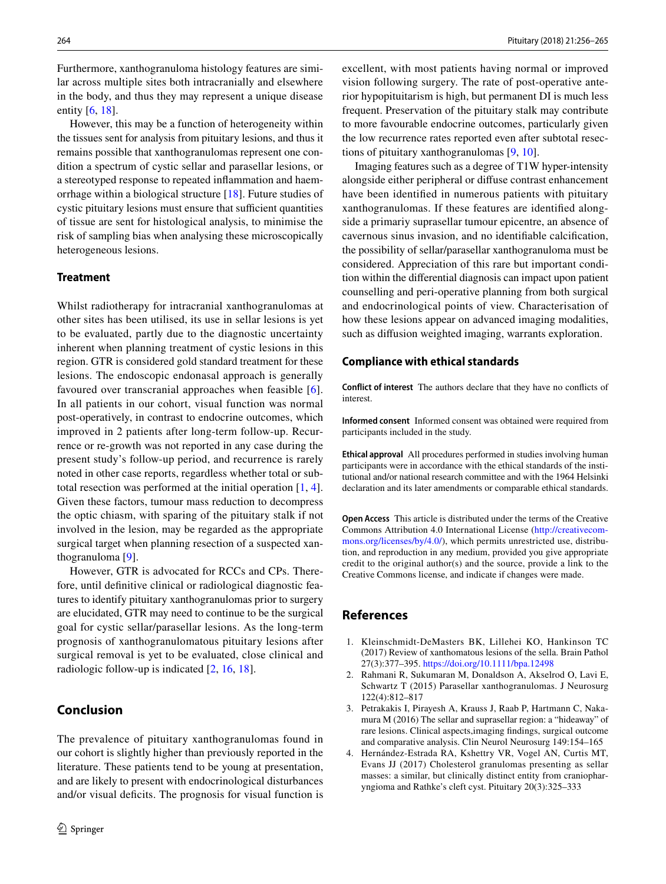Furthermore, xanthogranuloma histology features are similar across multiple sites both intracranially and elsewhere in the body, and thus they may represent a unique disease entity [[6,](#page-9-1) [18](#page-9-13)].

However, this may be a function of heterogeneity within the tissues sent for analysis from pituitary lesions, and thus it remains possible that xanthogranulomas represent one condition a spectrum of cystic sellar and parasellar lesions, or a stereotyped response to repeated inflammation and haemorrhage within a biological structure [\[18](#page-9-13)]. Future studies of cystic pituitary lesions must ensure that sufficient quantities of tissue are sent for histological analysis, to minimise the risk of sampling bias when analysing these microscopically heterogeneous lesions.

### **Treatment**

Whilst radiotherapy for intracranial xanthogranulomas at other sites has been utilised, its use in sellar lesions is yet to be evaluated, partly due to the diagnostic uncertainty inherent when planning treatment of cystic lesions in this region. GTR is considered gold standard treatment for these lesions. The endoscopic endonasal approach is generally favoured over transcranial approaches when feasible [[6](#page-9-1)]. In all patients in our cohort, visual function was normal post-operatively, in contrast to endocrine outcomes, which improved in 2 patients after long-term follow-up. Recurrence or re-growth was not reported in any case during the present study's follow-up period, and recurrence is rarely noted in other case reports, regardless whether total or subtotal resection was performed at the initial operation [\[1](#page-8-0), [4](#page-8-3)]. Given these factors, tumour mass reduction to decompress the optic chiasm, with sparing of the pituitary stalk if not involved in the lesion, may be regarded as the appropriate surgical target when planning resection of a suspected xanthogranuloma [\[9](#page-9-4)].

However, GTR is advocated for RCCs and CPs. Therefore, until definitive clinical or radiological diagnostic features to identify pituitary xanthogranulomas prior to surgery are elucidated, GTR may need to continue to be the surgical goal for cystic sellar/parasellar lesions. As the long-term prognosis of xanthogranulomatous pituitary lesions after surgical removal is yet to be evaluated, close clinical and radiologic follow-up is indicated [\[2](#page-8-1), [16](#page-9-11), [18](#page-9-13)].

# **Conclusion**

The prevalence of pituitary xanthogranulomas found in our cohort is slightly higher than previously reported in the literature. These patients tend to be young at presentation, and are likely to present with endocrinological disturbances and/or visual deficits. The prognosis for visual function is excellent, with most patients having normal or improved vision following surgery. The rate of post-operative anterior hypopituitarism is high, but permanent DI is much less frequent. Preservation of the pituitary stalk may contribute to more favourable endocrine outcomes, particularly given the low recurrence rates reported even after subtotal resections of pituitary xanthogranulomas [[9,](#page-9-4) [10\]](#page-9-5).

Imaging features such as a degree of T1W hyper-intensity alongside either peripheral or diffuse contrast enhancement have been identified in numerous patients with pituitary xanthogranulomas. If these features are identified alongside a primariy suprasellar tumour epicentre, an absence of cavernous sinus invasion, and no identifiable calcification, the possibility of sellar/parasellar xanthogranuloma must be considered. Appreciation of this rare but important condition within the differential diagnosis can impact upon patient counselling and peri-operative planning from both surgical and endocrinological points of view. Characterisation of how these lesions appear on advanced imaging modalities, such as diffusion weighted imaging, warrants exploration.

#### **Compliance with ethical standards**

**Conflict of interest** The authors declare that they have no conflicts of interest.

**Informed consent** Informed consent was obtained were required from participants included in the study.

**Ethical approval** All procedures performed in studies involving human participants were in accordance with the ethical standards of the institutional and/or national research committee and with the 1964 Helsinki declaration and its later amendments or comparable ethical standards.

**Open Access** This article is distributed under the terms of the Creative Commons Attribution 4.0 International License [\(http://creativecom](http://creativecommons.org/licenses/by/4.0/)[mons.org/licenses/by/4.0/](http://creativecommons.org/licenses/by/4.0/)), which permits unrestricted use, distribution, and reproduction in any medium, provided you give appropriate credit to the original author(s) and the source, provide a link to the Creative Commons license, and indicate if changes were made.

#### **References**

- <span id="page-8-0"></span>1. Kleinschmidt-DeMasters BK, Lillehei KO, Hankinson TC (2017) Review of xanthomatous lesions of the sella. Brain Pathol 27(3):377–395.<https://doi.org/10.1111/bpa.12498>
- <span id="page-8-1"></span>2. Rahmani R, Sukumaran M, Donaldson A, Akselrod O, Lavi E, Schwartz T (2015) Parasellar xanthogranulomas. J Neurosurg 122(4):812–817
- <span id="page-8-2"></span>3. Petrakakis I, Pirayesh A, Krauss J, Raab P, Hartmann C, Nakamura M (2016) The sellar and suprasellar region: a "hideaway" of rare lesions. Clinical aspects,imaging findings, surgical outcome and comparative analysis. Clin Neurol Neurosurg 149:154–165
- <span id="page-8-3"></span>4. Hernández-Estrada RA, Kshettry VR, Vogel AN, Curtis MT, Evans JJ (2017) Cholesterol granulomas presenting as sellar masses: a similar, but clinically distinct entity from craniopharyngioma and Rathke's cleft cyst. Pituitary 20(3):325–333